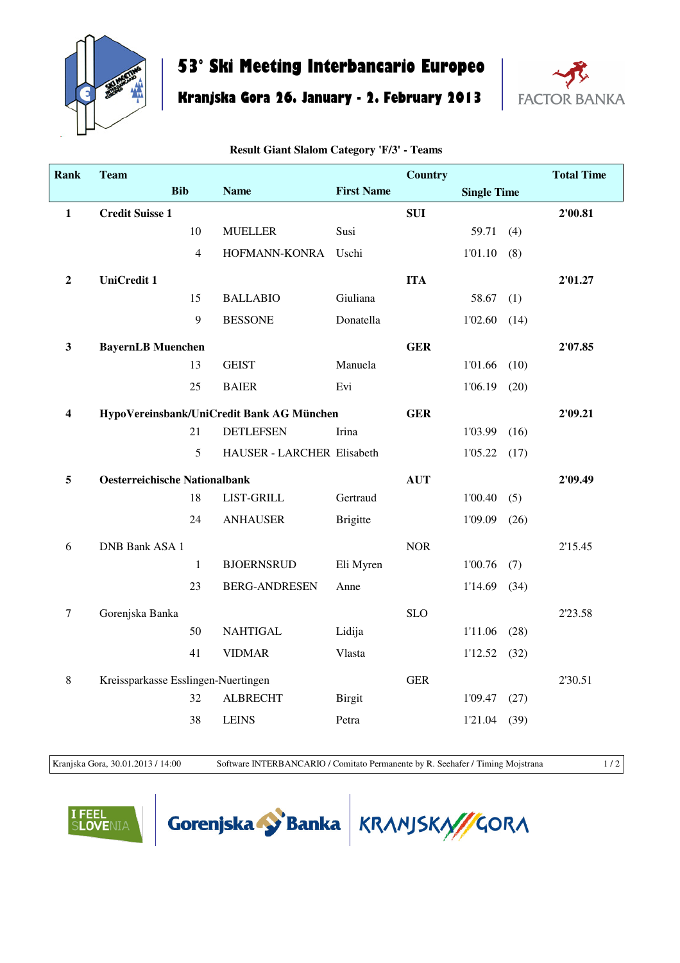

## **53° Ski Meeting Interbancario Europeo**

**Kranjska Gora 26. January - 2. February 2013**



| Rank                    | <b>Team</b>                               |                |                            |                   | <b>Country</b> |                    |      | <b>Total Time</b> |
|-------------------------|-------------------------------------------|----------------|----------------------------|-------------------|----------------|--------------------|------|-------------------|
|                         |                                           | <b>Bib</b>     | <b>Name</b>                | <b>First Name</b> |                | <b>Single Time</b> |      |                   |
| $\mathbf{1}$            | <b>Credit Suisse 1</b>                    |                |                            |                   | <b>SUI</b>     |                    |      | 2'00.81           |
|                         |                                           | 10             | <b>MUELLER</b>             | Susi              |                | 59.71              | (4)  |                   |
|                         |                                           | $\overline{4}$ | HOFMANN-KONRA              | Uschi             |                | 1'01.10            | (8)  |                   |
| $\boldsymbol{2}$        | <b>UniCredit 1</b>                        |                |                            |                   | <b>ITA</b>     |                    |      | 2'01.27           |
|                         |                                           | 15             | <b>BALLABIO</b>            | Giuliana          |                | 58.67              | (1)  |                   |
|                         |                                           | 9              | <b>BESSONE</b>             | Donatella         |                | 1'02.60            | (14) |                   |
| $\mathbf{3}$            | <b>BayernLB</b> Muenchen                  |                |                            |                   | <b>GER</b>     |                    |      | 2'07.85           |
|                         |                                           | 13             | <b>GEIST</b>               | Manuela           |                | 1'01.66            | (10) |                   |
|                         |                                           | 25             | <b>BAIER</b>               | Evi               |                | 1'06.19            | (20) |                   |
| $\overline{\mathbf{4}}$ | HypoVereinsbank/UniCredit Bank AG München |                |                            |                   | <b>GER</b>     |                    |      | 2'09.21           |
|                         |                                           | 21             | <b>DETLEFSEN</b>           | Irina             |                | 1'03.99            | (16) |                   |
|                         |                                           | 5              | HAUSER - LARCHER Elisabeth |                   |                | 1'05.22            | (17) |                   |
| 5                       | <b>Oesterreichische Nationalbank</b>      |                |                            |                   | <b>AUT</b>     |                    |      | 2'09.49           |
|                         |                                           | 18             | <b>LIST-GRILL</b>          | Gertraud          |                | 1'00.40            | (5)  |                   |
|                         |                                           | 24             | <b>ANHAUSER</b>            | <b>Brigitte</b>   |                | 1'09.09            | (26) |                   |
| 6                       | <b>DNB Bank ASA 1</b>                     |                |                            |                   | <b>NOR</b>     |                    |      | 2'15.45           |
|                         |                                           | 1              | <b>BJOERNSRUD</b>          | Eli Myren         |                | 1'00.76            | (7)  |                   |
|                         |                                           | 23             | <b>BERG-ANDRESEN</b>       | Anne              |                | 1'14.69            | (34) |                   |
| $\overline{7}$          | Gorenjska Banka                           |                |                            |                   | <b>SLO</b>     |                    |      | 2'23.58           |
|                         |                                           | 50             | <b>NAHTIGAL</b>            | Lidija            |                | 1'11.06            | (28) |                   |
|                         |                                           | 41             | <b>VIDMAR</b>              | Vlasta            |                | 1'12.52            | (32) |                   |
| $\,8\,$                 | Kreissparkasse Esslingen-Nuertingen       |                |                            |                   | <b>GER</b>     |                    |      | 2'30.51           |
|                         |                                           | 32             | <b>ALBRECHT</b>            | <b>Birgit</b>     |                | 1'09.47            | (27) |                   |

## **Result Giant Slalom Category 'F/3' - Teams**

Kranjska Gora, 30.01.2013 / 14:00 Software INTERBANCARIO / Comitato Permanente by R. Seehafer / Timing Mojstrana 1 / 2

38 LEINS Petra 1'21.04 (39)